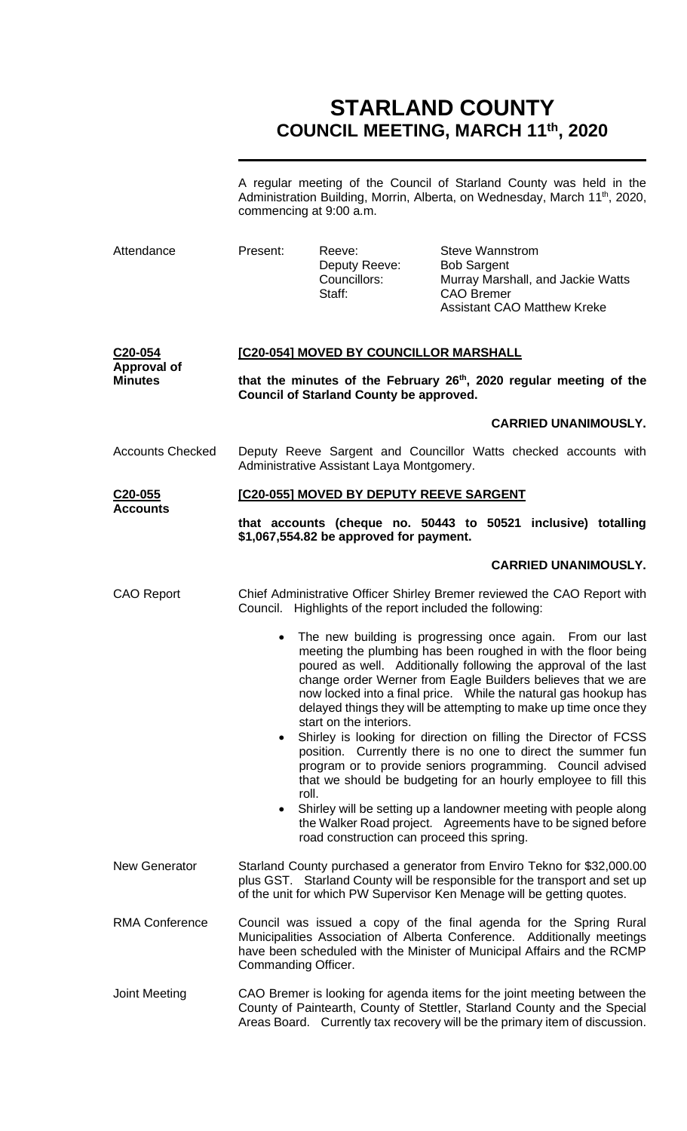# **STARLAND COUNTY COUNCIL MEETING, MARCH 11th, 2020**

A regular meeting of the Council of Starland County was held in the Administration Building, Morrin, Alberta, on Wednesday, March 11<sup>th</sup>, 2020, commencing at 9:00 a.m.

| Attendance                                                   | Present:                                                                                                                                                                                                                             | Reeve:<br>Deputy Reeve:<br>Councillors:<br>Staff:         | <b>Steve Wannstrom</b><br><b>Bob Sargent</b><br>Murray Marshall, and Jackie Watts<br><b>CAO Bremer</b><br><b>Assistant CAO Matthew Kreke</b>                                                                                                                                                                                                                                                          |  |
|--------------------------------------------------------------|--------------------------------------------------------------------------------------------------------------------------------------------------------------------------------------------------------------------------------------|-----------------------------------------------------------|-------------------------------------------------------------------------------------------------------------------------------------------------------------------------------------------------------------------------------------------------------------------------------------------------------------------------------------------------------------------------------------------------------|--|
| C <sub>20</sub> -054<br><b>Approval of</b><br><b>Minutes</b> | [C20-054] MOVED BY COUNCILLOR MARSHALL<br>that the minutes of the February 26th, 2020 regular meeting of the<br><b>Council of Starland County be approved.</b>                                                                       |                                                           |                                                                                                                                                                                                                                                                                                                                                                                                       |  |
|                                                              |                                                                                                                                                                                                                                      |                                                           | <b>CARRIED UNANIMOUSLY.</b>                                                                                                                                                                                                                                                                                                                                                                           |  |
| <b>Accounts Checked</b>                                      |                                                                                                                                                                                                                                      | Administrative Assistant Laya Montgomery.                 | Deputy Reeve Sargent and Councillor Watts checked accounts with                                                                                                                                                                                                                                                                                                                                       |  |
| C <sub>20</sub> -055<br><b>Accounts</b>                      |                                                                                                                                                                                                                                      | [C20-055] MOVED BY DEPUTY REEVE SARGENT                   |                                                                                                                                                                                                                                                                                                                                                                                                       |  |
|                                                              |                                                                                                                                                                                                                                      | \$1,067,554.82 be approved for payment.                   | that accounts (cheque no. 50443 to 50521 inclusive) totalling                                                                                                                                                                                                                                                                                                                                         |  |
|                                                              |                                                                                                                                                                                                                                      |                                                           | <b>CARRIED UNANIMOUSLY.</b>                                                                                                                                                                                                                                                                                                                                                                           |  |
| <b>CAO Report</b>                                            |                                                                                                                                                                                                                                      | Council. Highlights of the report included the following: | Chief Administrative Officer Shirley Bremer reviewed the CAO Report with                                                                                                                                                                                                                                                                                                                              |  |
|                                                              | $\bullet$                                                                                                                                                                                                                            | start on the interiors.                                   | The new building is progressing once again. From our last<br>meeting the plumbing has been roughed in with the floor being<br>poured as well. Additionally following the approval of the last<br>change order Werner from Eagle Builders believes that we are<br>now locked into a final price.  While the natural gas hookup has<br>delayed things they will be attempting to make up time once they |  |
|                                                              | roll.                                                                                                                                                                                                                                |                                                           | • Shirley is looking for direction on filling the Director of FCSS<br>position. Currently there is no one to direct the summer fun<br>program or to provide seniors programming. Council advised<br>that we should be budgeting for an hourly employee to fill this                                                                                                                                   |  |
|                                                              | $\bullet$                                                                                                                                                                                                                            | road construction can proceed this spring.                | Shirley will be setting up a landowner meeting with people along<br>the Walker Road project. Agreements have to be signed before                                                                                                                                                                                                                                                                      |  |
| <b>New Generator</b>                                         | Starland County purchased a generator from Enviro Tekno for \$32,000.00<br>plus GST. Starland County will be responsible for the transport and set up<br>of the unit for which PW Supervisor Ken Menage will be getting quotes.      |                                                           |                                                                                                                                                                                                                                                                                                                                                                                                       |  |
| <b>RMA Conference</b>                                        | Commanding Officer.                                                                                                                                                                                                                  |                                                           | Council was issued a copy of the final agenda for the Spring Rural<br>Municipalities Association of Alberta Conference. Additionally meetings<br>have been scheduled with the Minister of Municipal Affairs and the RCMP                                                                                                                                                                              |  |
| <b>Joint Meeting</b>                                         | CAO Bremer is looking for agenda items for the joint meeting between the<br>County of Paintearth, County of Stettler, Starland County and the Special<br>Areas Board. Currently tax recovery will be the primary item of discussion. |                                                           |                                                                                                                                                                                                                                                                                                                                                                                                       |  |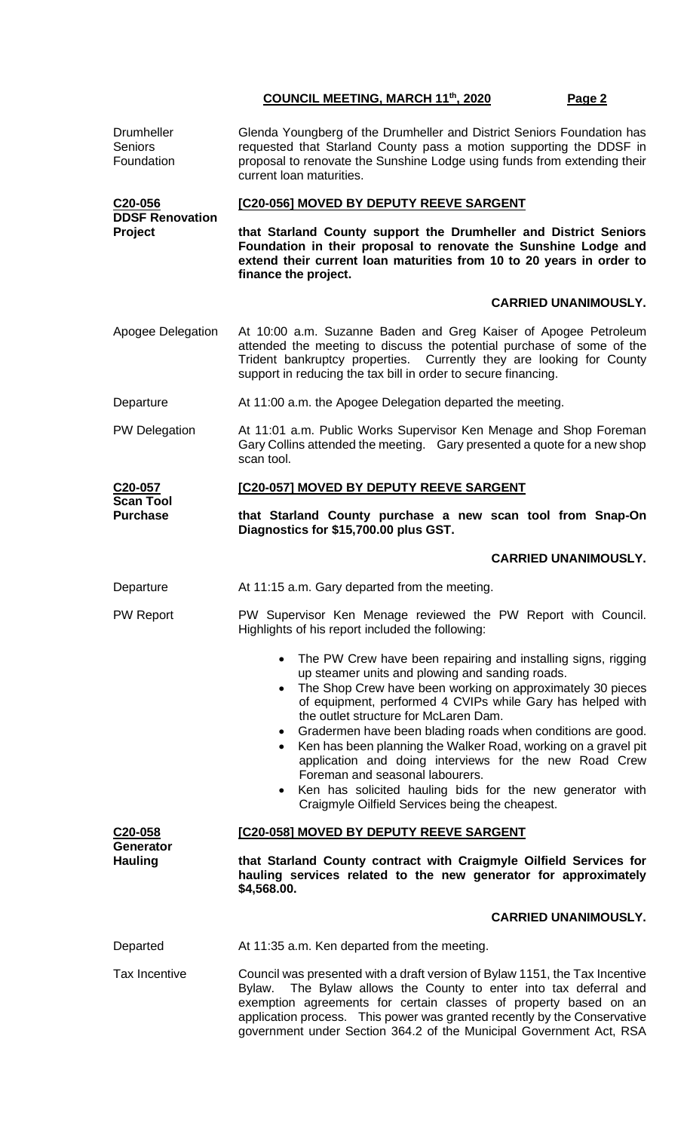| Drumheller<br><b>Seniors</b><br>Foundation   | Glenda Youngberg of the Drumheller and District Seniors Foundation has<br>requested that Starland County pass a motion supporting the DDSF in<br>proposal to renovate the Sunshine Lodge using funds from extending their<br>current loan maturities.                                                                                                                                                                                                                                                                                                                                                                                                                                   |
|----------------------------------------------|-----------------------------------------------------------------------------------------------------------------------------------------------------------------------------------------------------------------------------------------------------------------------------------------------------------------------------------------------------------------------------------------------------------------------------------------------------------------------------------------------------------------------------------------------------------------------------------------------------------------------------------------------------------------------------------------|
| C20-056<br><b>DDSF Renovation</b><br>Project | [C20-056] MOVED BY DEPUTY REEVE SARGENT                                                                                                                                                                                                                                                                                                                                                                                                                                                                                                                                                                                                                                                 |
|                                              | that Starland County support the Drumheller and District Seniors<br>Foundation in their proposal to renovate the Sunshine Lodge and<br>extend their current loan maturities from 10 to 20 years in order to<br>finance the project.                                                                                                                                                                                                                                                                                                                                                                                                                                                     |
|                                              | <b>CARRIED UNANIMOUSLY.</b>                                                                                                                                                                                                                                                                                                                                                                                                                                                                                                                                                                                                                                                             |
| Apogee Delegation                            | At 10:00 a.m. Suzanne Baden and Greg Kaiser of Apogee Petroleum<br>attended the meeting to discuss the potential purchase of some of the<br>Trident bankruptcy properties. Currently they are looking for County<br>support in reducing the tax bill in order to secure financing.                                                                                                                                                                                                                                                                                                                                                                                                      |
| Departure                                    | At 11:00 a.m. the Apogee Delegation departed the meeting.                                                                                                                                                                                                                                                                                                                                                                                                                                                                                                                                                                                                                               |
| <b>PW Delegation</b>                         | At 11:01 a.m. Public Works Supervisor Ken Menage and Shop Foreman<br>Gary Collins attended the meeting. Gary presented a quote for a new shop<br>scan tool.                                                                                                                                                                                                                                                                                                                                                                                                                                                                                                                             |
| C20-057                                      | [C20-057] MOVED BY DEPUTY REEVE SARGENT                                                                                                                                                                                                                                                                                                                                                                                                                                                                                                                                                                                                                                                 |
| <b>Scan Tool</b><br><b>Purchase</b>          | that Starland County purchase a new scan tool from Snap-On<br>Diagnostics for \$15,700.00 plus GST.                                                                                                                                                                                                                                                                                                                                                                                                                                                                                                                                                                                     |
|                                              | <b>CARRIED UNANIMOUSLY.</b>                                                                                                                                                                                                                                                                                                                                                                                                                                                                                                                                                                                                                                                             |
| Departure                                    | At 11:15 a.m. Gary departed from the meeting.                                                                                                                                                                                                                                                                                                                                                                                                                                                                                                                                                                                                                                           |
| <b>PW Report</b>                             | PW Supervisor Ken Menage reviewed the PW Report with Council.<br>Highlights of his report included the following:                                                                                                                                                                                                                                                                                                                                                                                                                                                                                                                                                                       |
|                                              | The PW Crew have been repairing and installing signs, rigging<br>$\bullet$<br>up steamer units and plowing and sanding roads.<br>The Shop Crew have been working on approximately 30 pieces<br>$\bullet$<br>of equipment, performed 4 CVIPs while Gary has helped with<br>the outlet structure for McLaren Dam.<br>Gradermen have been blading roads when conditions are good.<br>$\bullet$<br>Ken has been planning the Walker Road, working on a gravel pit<br>$\bullet$<br>application and doing interviews for the new Road Crew<br>Foreman and seasonal labourers.<br>Ken has solicited hauling bids for the new generator with<br>Craigmyle Oilfield Services being the cheapest. |
| C20-058                                      | [C20-058] MOVED BY DEPUTY REEVE SARGENT                                                                                                                                                                                                                                                                                                                                                                                                                                                                                                                                                                                                                                                 |
| Generator<br><b>Hauling</b>                  | that Starland County contract with Craigmyle Oilfield Services for<br>hauling services related to the new generator for approximately<br>\$4,568.00.                                                                                                                                                                                                                                                                                                                                                                                                                                                                                                                                    |
|                                              | <b>CARRIED UNANIMOUSLY.</b>                                                                                                                                                                                                                                                                                                                                                                                                                                                                                                                                                                                                                                                             |
| Departed                                     | At 11:35 a.m. Ken departed from the meeting.                                                                                                                                                                                                                                                                                                                                                                                                                                                                                                                                                                                                                                            |
| <b>Tax Incentive</b>                         | Council was presented with a draft version of Bylaw 1151, the Tax Incentive<br>The Bylaw allows the County to enter into tax deferral and<br>Bylaw.<br>exemption agreements for certain classes of property based on an<br>application process. This power was granted recently by the Conservative<br>government under Section 364.2 of the Municipal Government Act, RSA                                                                                                                                                                                                                                                                                                              |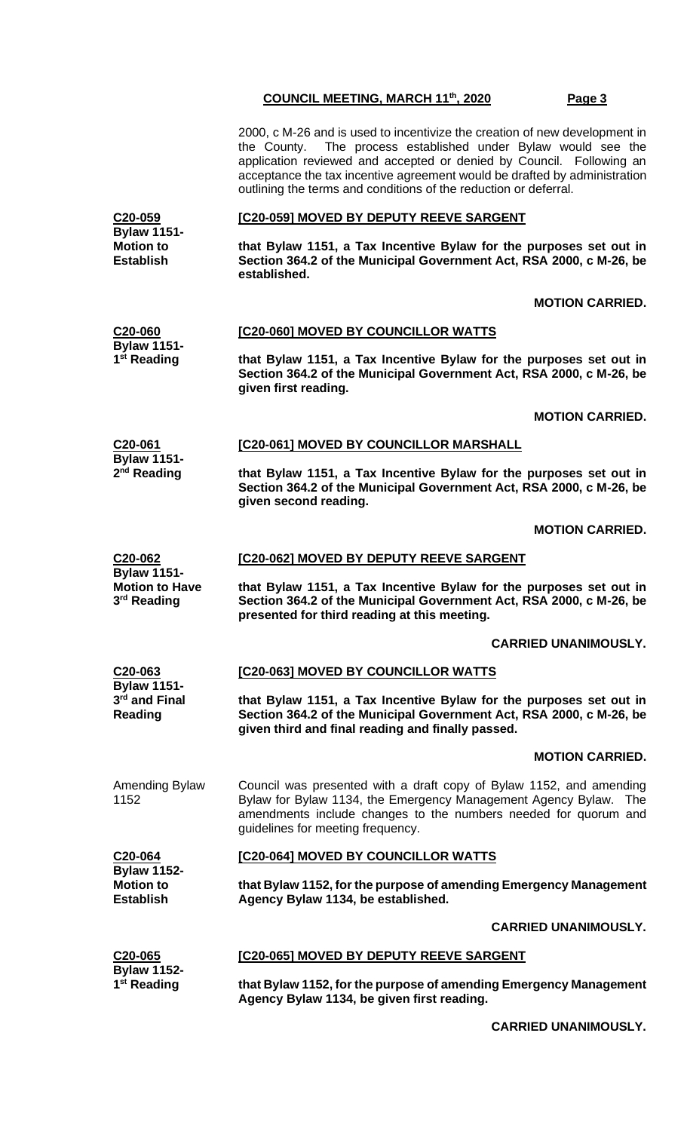2000, c M-26 and is used to incentivize the creation of new development in the County. The process established under Bylaw would see the application reviewed and accepted or denied by Council. Following an acceptance the tax incentive agreement would be drafted by administration outlining the terms and conditions of the reduction or deferral.

#### **[C20-059] MOVED BY DEPUTY REEVE SARGENT**

**Bylaw 1151- Motion to Establish that Bylaw 1151, a Tax Incentive Bylaw for the purposes set out in Section 364.2 of the Municipal Government Act, RSA 2000, c M-26, be established.**

#### **MOTION CARRIED.**

#### **C20-060 [C20-060] MOVED BY COUNCILLOR WATTS**

**C20-059**

**Bylaw 1151- 1 st Reading**

**3 rd Reading**

**that Bylaw 1151, a Tax Incentive Bylaw for the purposes set out in Section 364.2 of the Municipal Government Act, RSA 2000, c M-26, be given first reading.**

#### **MOTION CARRIED.**

| C20-061                 | <b>[C20-061] MOVED BY COUNCILLOR MARSHALL</b>        |
|-------------------------|------------------------------------------------------|
| <b>Bylaw 1151-</b>      |                                                      |
| 2 <sup>nd</sup> Reading | that Bylaw 1151, a Tax Incentive Bylaw for the purpo |

**that Bylaw 1151, a Tax Incentive Bylaw for the purposes set out in Section 364.2 of the Municipal Government Act, RSA 2000, c M-26, be given second reading.**

#### **MOTION CARRIED.**

#### **C20-062 Bylaw 1151- [C20-062] MOVED BY DEPUTY REEVE SARGENT**

**Motion to Have that Bylaw 1151, a Tax Incentive Bylaw for the purposes set out in Section 364.2 of the Municipal Government Act, RSA 2000, c M-26, be presented for third reading at this meeting.**

#### **CARRIED UNANIMOUSLY.**

| C20-063<br><b>Bylaw 1151-</b> | [C20-063] MOVED BY COUNCILLOR WATTS                                                                                                                                                                                                             |  |  |
|-------------------------------|-------------------------------------------------------------------------------------------------------------------------------------------------------------------------------------------------------------------------------------------------|--|--|
| 3rd and Final<br>Reading      | that Bylaw 1151, a Tax Incentive Bylaw for the purposes set out in<br>Section 364.2 of the Municipal Government Act, RSA 2000, c M-26, be<br>given third and final reading and finally passed.                                                  |  |  |
|                               | <b>MOTION CARRIED.</b>                                                                                                                                                                                                                          |  |  |
| Amending Bylaw<br>1152        | Council was presented with a draft copy of Bylaw 1152, and amending<br>Bylaw for Bylaw 1134, the Emergency Management Agency Bylaw. The<br>amendments include changes to the numbers needed for quorum and<br>guidelines for meeting frequency. |  |  |

# **[C20-064] MOVED BY COUNCILLOR WATTS**

| C20-064            | <b>[C20-064] MOVED BY COUNCILLOR WATTS</b>                        |
|--------------------|-------------------------------------------------------------------|
| <b>Bylaw 1152-</b> |                                                                   |
| <b>Motion to</b>   | that Bylaw 1152, for the purpose of amending Emergency Management |
| <b>Establish</b>   | Agency Bylaw 1134, be established.                                |

#### **CARRIED UNANIMOUSLY.**

| C20-065                 | <b>[C20-065] MOVED BY DEPUTY REEVE SARGENT</b>                    |
|-------------------------|-------------------------------------------------------------------|
| <b>Bylaw 1152-</b>      |                                                                   |
| 1 <sup>st</sup> Reading | that Bylaw 1152, for the purpose of amending Emergency Management |
|                         | Agency Bylaw 1134, be given first reading.                        |

**CARRIED UNANIMOUSLY.**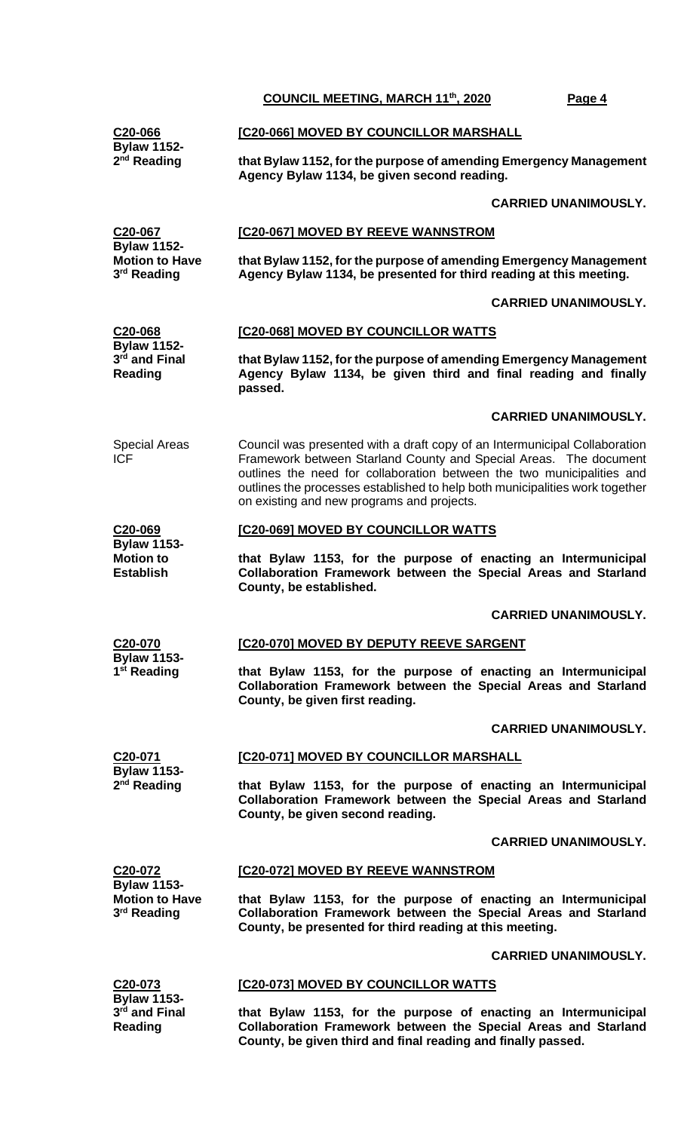|                                                                        | <b>COUNCIL MEETING, MARCH 11th, 2020</b>                                                                                                                                                                                                                                                                                                                | Page 4                      |
|------------------------------------------------------------------------|---------------------------------------------------------------------------------------------------------------------------------------------------------------------------------------------------------------------------------------------------------------------------------------------------------------------------------------------------------|-----------------------------|
| C20-066                                                                | [C20-066] MOVED BY COUNCILLOR MARSHALL                                                                                                                                                                                                                                                                                                                  |                             |
| <b>Bylaw 1152-</b><br>$2nd$ Reading                                    | that Bylaw 1152, for the purpose of amending Emergency Management<br>Agency Bylaw 1134, be given second reading.                                                                                                                                                                                                                                        |                             |
|                                                                        |                                                                                                                                                                                                                                                                                                                                                         | <b>CARRIED UNANIMOUSLY.</b> |
| C20-067                                                                | <b>[C20-067] MOVED BY REEVE WANNSTROM</b>                                                                                                                                                                                                                                                                                                               |                             |
| <b>Bylaw 1152-</b><br><b>Motion to Have</b><br>3 <sup>rd</sup> Reading | that Bylaw 1152, for the purpose of amending Emergency Management<br>Agency Bylaw 1134, be presented for third reading at this meeting.                                                                                                                                                                                                                 |                             |
|                                                                        |                                                                                                                                                                                                                                                                                                                                                         | <b>CARRIED UNANIMOUSLY.</b> |
| C20-068<br><b>Bylaw 1152-</b>                                          | [C20-068] MOVED BY COUNCILLOR WATTS                                                                                                                                                                                                                                                                                                                     |                             |
| 3rd and Final<br><b>Reading</b>                                        | that Bylaw 1152, for the purpose of amending Emergency Management<br>Agency Bylaw 1134, be given third and final reading and finally<br>passed.                                                                                                                                                                                                         |                             |
|                                                                        |                                                                                                                                                                                                                                                                                                                                                         | <b>CARRIED UNANIMOUSLY.</b> |
| <b>Special Areas</b><br><b>ICF</b>                                     | Council was presented with a draft copy of an Intermunicipal Collaboration<br>Framework between Starland County and Special Areas. The document<br>outlines the need for collaboration between the two municipalities and<br>outlines the processes established to help both municipalities work together<br>on existing and new programs and projects. |                             |
| C20-069                                                                | [C20-069] MOVED BY COUNCILLOR WATTS                                                                                                                                                                                                                                                                                                                     |                             |
| <b>Bylaw 1153-</b><br><b>Motion to</b><br><b>Establish</b>             | that Bylaw 1153, for the purpose of enacting an Intermunicipal<br>Collaboration Framework between the Special Areas and Starland<br>County, be established.                                                                                                                                                                                             |                             |
|                                                                        |                                                                                                                                                                                                                                                                                                                                                         | <b>CARRIED UNANIMOUSLY.</b> |
| C20-070<br><b>Bylaw 1153-</b>                                          | [C20-070] MOVED BY DEPUTY REEVE SARGENT                                                                                                                                                                                                                                                                                                                 |                             |
| 1 <sup>st</sup> Reading                                                | that Bylaw 1153, for the purpose of enacting an Intermunicipal<br>Collaboration Framework between the Special Areas and Starland<br>County, be given first reading.                                                                                                                                                                                     |                             |
|                                                                        |                                                                                                                                                                                                                                                                                                                                                         | <b>CARRIED UNANIMOUSLY.</b> |
| C20-071<br><b>Bylaw 1153-</b><br>2 <sup>nd</sup> Reading               | [C20-071] MOVED BY COUNCILLOR MARSHALL                                                                                                                                                                                                                                                                                                                  |                             |
|                                                                        | that Bylaw 1153, for the purpose of enacting an Intermunicipal<br>Collaboration Framework between the Special Areas and Starland<br>County, be given second reading.                                                                                                                                                                                    |                             |
|                                                                        |                                                                                                                                                                                                                                                                                                                                                         | <b>CARRIED UNANIMOUSLY.</b> |
| C20-072<br><b>Bylaw 1153-</b>                                          | [C20-072] MOVED BY REEVE WANNSTROM                                                                                                                                                                                                                                                                                                                      |                             |
| <b>Motion to Have</b><br>3rd Reading                                   | that Bylaw 1153, for the purpose of enacting an Intermunicipal<br>Collaboration Framework between the Special Areas and Starland<br>County, be presented for third reading at this meeting.                                                                                                                                                             |                             |
|                                                                        |                                                                                                                                                                                                                                                                                                                                                         | <b>CARRIED UNANIMOUSLY.</b> |

**[C20-073] MOVED BY COUNCILLOR WATTS**

**C20-073 Bylaw 1153- 3 rd and Final Reading**

**that Bylaw 1153, for the purpose of enacting an Intermunicipal Collaboration Framework between the Special Areas and Starland County, be given third and final reading and finally passed.**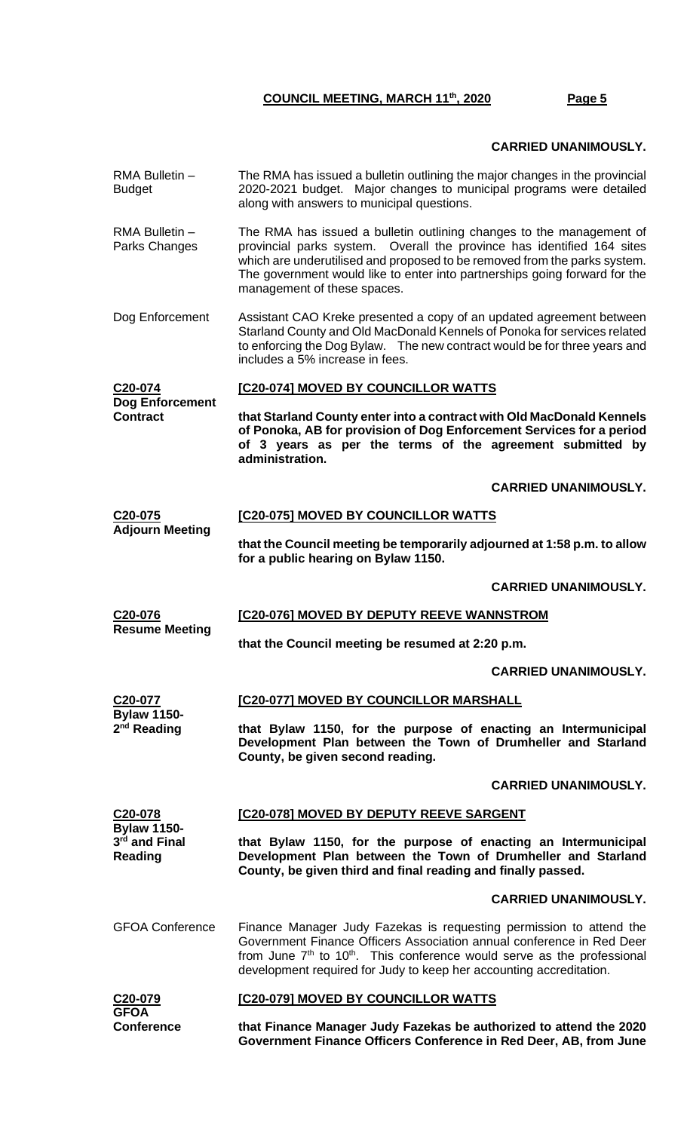#### **CARRIED UNANIMOUSLY.**

- RMA Bulletin Budget The RMA has issued a bulletin outlining the major changes in the provincial 2020-2021 budget. Major changes to municipal programs were detailed along with answers to municipal questions.
- RMA Bulletin Parks Changes The RMA has issued a bulletin outlining changes to the management of provincial parks system. Overall the province has identified 164 sites which are underutilised and proposed to be removed from the parks system. The government would like to enter into partnerships going forward for the management of these spaces.
- Dog Enforcement Assistant CAO Kreke presented a copy of an updated agreement between Starland County and Old MacDonald Kennels of Ponoka for services related to enforcing the Dog Bylaw. The new contract would be for three years and includes a 5% increase in fees.

#### **C20-074 Dog Enforcement Contract [C20-074] MOVED BY COUNCILLOR WATTS that Starland County enter into a contract with Old MacDonald Kennels of Ponoka, AB for provision of Dog Enforcement Services for a period of 3 years as per the terms of the agreement submitted by administration.**

**CARRIED UNANIMOUSLY.**

| C <sub>20</sub> -075   | [C20-075] MOVED BY COUNCILLOR WATTS |
|------------------------|-------------------------------------|
| <b>Adjourn Meeting</b> |                                     |

**that the Council meeting be temporarily adjourned at 1:58 p.m. to allow for a public hearing on Bylaw 1150.**

**CARRIED UNANIMOUSLY.**

**C20-076 Resume Meeting [C20-076] MOVED BY DEPUTY REEVE WANNSTROM**

**that the Council meeting be resumed at 2:20 p.m.**

#### **CARRIED UNANIMOUSLY.**

**C20-077 Bylaw 1150- 2 nd Reading [C20-077] MOVED BY COUNCILLOR MARSHALL that Bylaw 1150, for the purpose of enacting an Intermunicipal** 

**Development Plan between the Town of Drumheller and Starland County, be given second reading.**

#### **CARRIED UNANIMOUSLY.**

| C <sub>20</sub> -078<br><b>Bylaw 1150-</b><br>3rd and Final<br>Reading | [C20-078] MOVED BY DEPUTY REEVE SARGENT<br>that Bylaw 1150, for the purpose of enacting an Intermunicipal<br>Development Plan between the Town of Drumheller and Starland<br>County, be given third and final reading and finally passed.                                                                    |  |  |
|------------------------------------------------------------------------|--------------------------------------------------------------------------------------------------------------------------------------------------------------------------------------------------------------------------------------------------------------------------------------------------------------|--|--|
|                                                                        | <b>CARRIED UNANIMOUSLY.</b>                                                                                                                                                                                                                                                                                  |  |  |
| <b>GFOA Conference</b>                                                 | Finance Manager Judy Fazekas is requesting permission to attend the<br>Government Finance Officers Association annual conference in Red Deer<br>from June $7th$ to 10 <sup>th</sup> . This conference would serve as the professional<br>development required for Judy to keep her accounting accreditation. |  |  |
|                                                                        |                                                                                                                                                                                                                                                                                                              |  |  |

| C <sub>20</sub> -079 | <b>IC20-0791 MOVED BY COUNCILLOR WATTS</b>                         |
|----------------------|--------------------------------------------------------------------|
| <b>GFOA</b>          |                                                                    |
| <b>Conference</b>    | that Finance Manager Judy Fazekas be authorized to attend the 2020 |
|                      | Government Finance Officers Conference in Red Deer, AB, from June  |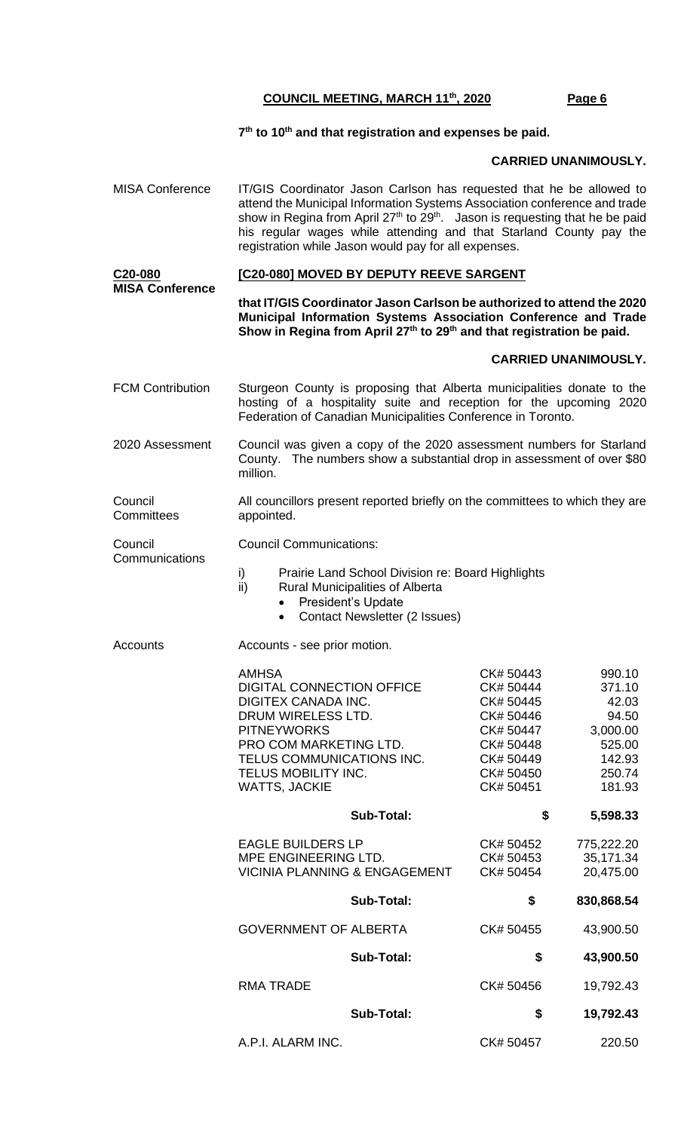#### **7 th to 10th and that registration and expenses be paid.**

#### **CARRIED UNANIMOUSLY.**

- MISA Conference IT/GIS Coordinator Jason Carlson has requested that he be allowed to attend the Municipal Information Systems Association conference and trade show in Regina from April 27<sup>th</sup> to  $29<sup>th</sup>$ . Jason is requesting that he be paid his regular wages while attending and that Starland County pay the registration while Jason would pay for all expenses. **C20-080 MISA Conference [C20-080] MOVED BY DEPUTY REEVE SARGENT that IT/GIS Coordinator Jason Carlson be authorized to attend the 2020 Municipal Information Systems Association Conference and Trade Show in Regina from April 27th to 29th and that registration be paid. CARRIED UNANIMOUSLY.** FCM Contribution Sturgeon County is proposing that Alberta municipalities donate to the hosting of a hospitality suite and reception for the upcoming 2020 Federation of Canadian Municipalities Conference in Toronto. 2020 Assessment Council was given a copy of the 2020 assessment numbers for Starland County. The numbers show a substantial drop in assessment of over \$80 million. **Council Committees** All councillors present reported briefly on the committees to which they are appointed. Council **Communications** Council Communications: i) Prairie Land School Division re: Board Highlights<br>ii) Rural Municipalities of Alberta Rural Municipalities of Alberta • President's Update • Contact Newsletter (2 Issues) Accounts **Accounts** - see prior motion. AMHSA CK# 50443 990.10 DIGITAL CONNECTION OFFICE CK# 50444 371.10 DIGITEX CANADA INC. DRUM WIRELESS LTD. CK# 50446 94.50 PITNEYWORKS CK# 50447 3,000.00 PRO COM MARKETING LTD. CK# 50448 525.00 TELUS COMMUNICATIONS INC. CK# 50449 142.93 TELUS MOBILITY INC. CK# 50450 250.74 WATTS, JACKIE CK# 50451 181.93  **Sub-Total: \$ 5,598.33** EAGLE BUILDERS LP CK# 50452 775,222.20 MPE ENGINEERING LTD. CK# 50453 35,171.34 VICINIA PLANNING & ENGAGEMENT CK# 50454 20,475.00  **Sub-Total: \$ 830,868.54** GOVERNMENT OF ALBERTA CK# 50455 43,900.50  **Sub-Total: \$ 43,900.50** RMA TRADE **CK# 50456** 19,792.43  **Sub-Total: \$ 19,792.43**
	- A.P.I. ALARM INC. CK# 50457 220.50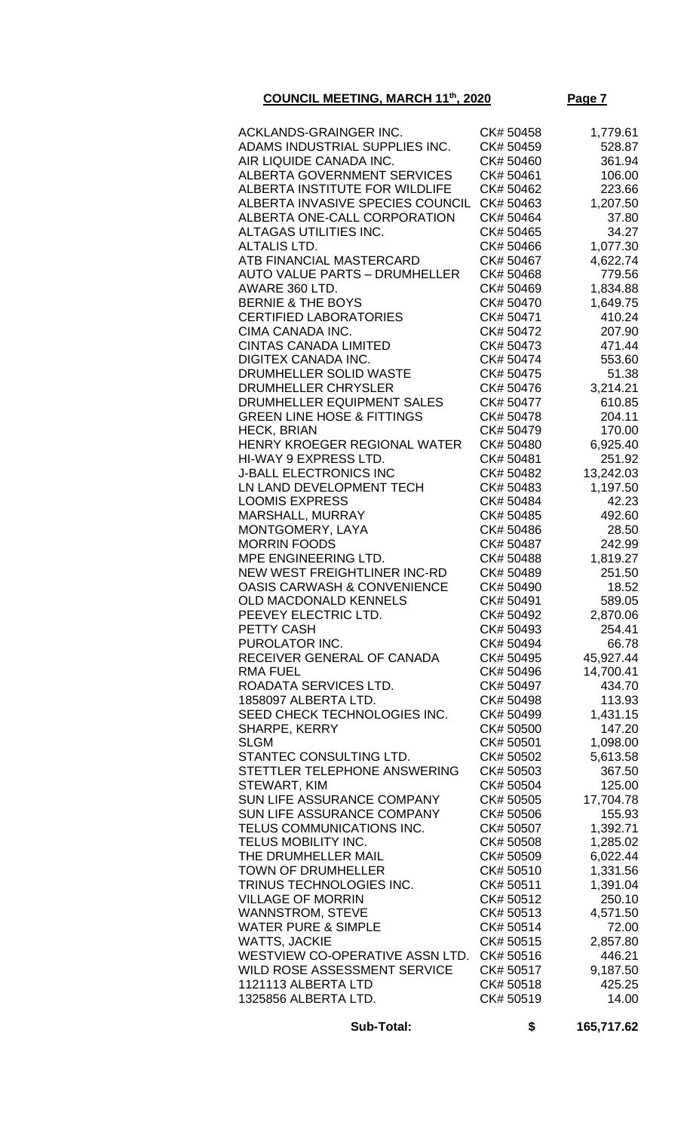| ACKLANDS-GRAINGER INC.                                 | CK# 50458              | 1,779.61           |
|--------------------------------------------------------|------------------------|--------------------|
| ADAMS INDUSTRIAL SUPPLIES INC.                         | CK# 50459              | 528.87             |
| AIR LIQUIDE CANADA INC.                                | CK# 50460              | 361.94             |
| <b>ALBERTA GOVERNMENT SERVICES</b>                     | CK# 50461              | 106.00             |
| ALBERTA INSTITUTE FOR WILDLIFE                         | CK# 50462              | 223.66             |
| ALBERTA INVASIVE SPECIES COUNCIL                       | CK# 50463              | 1,207.50           |
| ALBERTA ONE-CALL CORPORATION                           | CK# 50464              | 37.80              |
| ALTAGAS UTILITIES INC.                                 | CK# 50465              | 34.27              |
| <b>ALTALIS LTD.</b>                                    |                        |                    |
|                                                        | CK# 50466              | 1,077.30           |
| ATB FINANCIAL MASTERCARD                               | CK# 50467              | 4,622.74           |
| <b>AUTO VALUE PARTS - DRUMHELLER</b>                   | CK# 50468              | 779.56             |
| AWARE 360 LTD.                                         | CK# 50469              | 1,834.88           |
| <b>BERNIE &amp; THE BOYS</b>                           | CK# 50470              | 1,649.75           |
| <b>CERTIFIED LABORATORIES</b>                          | CK# 50471              | 410.24             |
| CIMA CANADA INC.                                       | CK# 50472              | 207.90             |
| <b>CINTAS CANADA LIMITED</b>                           | CK# 50473              | 471.44             |
| <b>DIGITEX CANADA INC.</b>                             | CK# 50474              | 553.60             |
| DRUMHELLER SOLID WASTE                                 | CK# 50475              | 51.38              |
| <b>DRUMHELLER CHRYSLER</b>                             | CK# 50476              | 3,214.21           |
| DRUMHELLER EQUIPMENT SALES                             | CK# 50477              | 610.85             |
| <b>GREEN LINE HOSE &amp; FITTINGS</b>                  | CK# 50478              | 204.11             |
| <b>HECK, BRIAN</b>                                     | CK# 50479              | 170.00             |
| HENRY KROEGER REGIONAL WATER                           | CK# 50480              | 6,925.40           |
| HI-WAY 9 EXPRESS LTD.                                  | CK# 50481              | 251.92             |
| <b>J-BALL ELECTRONICS INC</b>                          | CK# 50482              | 13,242.03          |
| LN LAND DEVELOPMENT TECH                               | CK# 50483              | 1,197.50           |
| <b>LOOMIS EXPRESS</b>                                  | CK# 50484              | 42.23              |
| <b>MARSHALL, MURRAY</b>                                | CK# 50485              | 492.60             |
| MONTGOMERY, LAYA                                       | CK# 50486              | 28.50              |
| <b>MORRIN FOODS</b>                                    | CK# 50487              | 242.99             |
| MPE ENGINEERING LTD.                                   | CK# 50488              | 1,819.27           |
| <b>NEW WEST FREIGHTLINER INC-RD</b>                    | CK# 50489              | 251.50             |
| <b>OASIS CARWASH &amp; CONVENIENCE</b>                 | CK# 50490              | 18.52              |
| OLD MACDONALD KENNELS                                  | CK# 50491              | 589.05             |
| PEEVEY ELECTRIC LTD.                                   | CK# 50492              | 2,870.06           |
| PETTY CASH                                             | CK# 50493              | 254.41             |
| PUROLATOR INC.                                         | CK# 50494              | 66.78              |
| RECEIVER GENERAL OF CANADA                             | CK# 50495              | 45,927.44          |
| RMA FUEL                                               | CK# 50496              | 14,700.41          |
| ROADATA SERVICES LTD.                                  | CK# 50497              | 434.70             |
| 1858097 ALBERTA LTD.                                   | CK# 50498              | 113.93             |
| SEED CHECK TECHNOLOGIES INC.                           | CK# 50499              | 1,431.15           |
| SHARPE, KERRY                                          | CK# 50500              | 147.20             |
| <b>SLGM</b>                                            | CK# 50501              | 1,098.00           |
| STANTEC CONSULTING LTD.                                | CK# 50502              | 5,613.58           |
| STETTLER TELEPHONE ANSWERING                           | CK# 50503              | 367.50             |
| STEWART, KIM                                           | CK# 50504              | 125.00             |
| SUN LIFE ASSURANCE COMPANY                             | CK# 50505              | 17,704.78          |
| SUN LIFE ASSURANCE COMPANY                             | CK# 50506              | 155.93             |
| TELUS COMMUNICATIONS INC.                              | CK# 50507              | 1,392.71           |
| TELUS MOBILITY INC.                                    | CK# 50508              | 1,285.02           |
| THE DRUMHELLER MAIL                                    | CK# 50509              | 6,022.44           |
| <b>TOWN OF DRUMHELLER</b>                              | CK# 50510              | 1,331.56           |
| TRINUS TECHNOLOGIES INC.                               | CK# 50511              | 1,391.04           |
| <b>VILLAGE OF MORRIN</b>                               | CK# 50512              | 250.10             |
| <b>WANNSTROM, STEVE</b>                                | CK# 50513              | 4,571.50           |
| <b>WATER PURE &amp; SIMPLE</b><br><b>WATTS, JACKIE</b> | CK# 50514              | 72.00              |
| WESTVIEW CO-OPERATIVE ASSN LTD.                        | CK# 50515<br>CK# 50516 | 2,857.80<br>446.21 |
| WILD ROSE ASSESSMENT SERVICE                           | CK# 50517              | 9,187.50           |
| 1121113 ALBERTA LTD                                    | CK# 50518              | 425.25             |
| 1325856 ALBERTA LTD.                                   | CK# 50519              | 14.00              |
|                                                        |                        |                    |

 **Sub-Total: \$ 165,717.62**